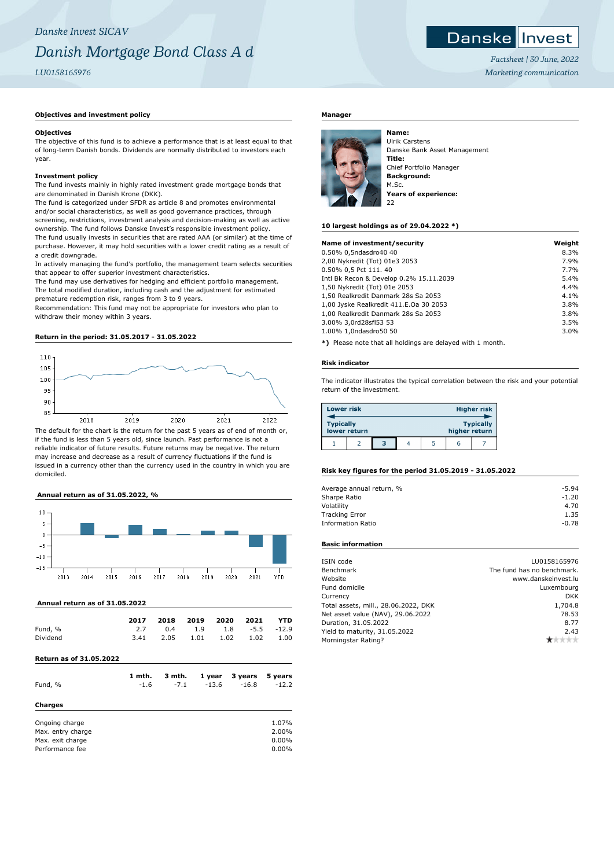# **Objectives and investment policy**

#### **Objectives**

The objective of this fund is to achieve a performance that is at least equal to that of long-term Danish bonds. Dividends are normally distributed to investors each year.

#### **Investment policy**

The fund invests mainly in highly rated investment grade mortgage bonds that are denominated in Danish Krone (DKK).

The fund is categorized under SFDR as article 8 and promotes environmental and/or social characteristics, as well as good governance practices, through screening, restrictions, investment analysis and decision-making as well as active ownership. The fund follows Danske Invest's responsible investment policy. The fund usually invests in securities that are rated AAA (or similar) at the time of purchase. However, it may hold securities with a lower credit rating as a result of a credit downgrade.

In actively managing the fund's portfolio, the management team selects securities that appear to offer superior investment characteristics.

The fund may use derivatives for hedging and efficient portfolio management. The total modified duration, including cash and the adjustment for estimated premature redemption risk, ranges from 3 to 9 years.

Recommendation: This fund may not be appropriate for investors who plan to withdraw their money within 3 years.

# **Return in the period: 31.05.2017 - 31.05.2022**



if the fund is less than 5 years old, since launch. Past performance is not a reliable indicator of future results. Future returns may be negative. The return may increase and decrease as a result of currency fluctuations if the fund is issued in a currency other than the currency used in the country in which you are domiciled.

#### **Annual return as of 31.05.2022, %**



#### **Annual return as of 31.05.2022**

|          | 2017 | 2018 2019 2020 2021 YTD       |  |  |
|----------|------|-------------------------------|--|--|
| Fund, %  |      | 2.7 0.4 1.9 1.8 -5.5 -12.9    |  |  |
| Dividend |      | 3.41 2.05 1.01 1.02 1.02 1.00 |  |  |

# **Return as of 31.05.2022**

| Fund, %                                                                    | 1 mth. | 3 mth. | 1 year  | 3 years | 5 years                          |
|----------------------------------------------------------------------------|--------|--------|---------|---------|----------------------------------|
| Charges                                                                    | $-1.6$ | $-7.1$ | $-13.6$ | $-16.8$ | $-12.2$                          |
| Ongoing charge<br>Max. entry charge<br>Max. exit charge<br>Performance fee |        |        |         |         | 1.07%<br>2.00%<br>0.00%<br>0.00% |

#### **Manager**



Ulrik Carstens Danske Bank Asset Management **Title:** Chief Portfolio Manager **Background:** M.Sc. **Years of experience:** 22

#### **10 largest holdings as of 29.04.2022 \*)**

| Name of investment/security             | Weight |
|-----------------------------------------|--------|
| 0.50% 0,5ndasdro40 40                   | 8.3%   |
| 2,00 Nykredit (Tot) 01e3 2053           | 7.9%   |
| 0.50% 0,5 Pct 111.40                    | 7.7%   |
| Intl Bk Recon & Develop 0.2% 15.11.2039 | 5.4%   |
| 1,50 Nykredit (Tot) 01e 2053            | 4.4%   |
| 1,50 Realkredit Danmark 28s Sa 2053     | 4.1%   |
| 1,00 Jyske Realkredit 411.E.Oa 30 2053  | 3.8%   |
| 1.00 Realkredit Danmark 28s Sa 2053     | 3.8%   |
| 3.00% 3,0rd28sfl53 53                   | 3.5%   |
| 1.00% 1,0ndasdro50 50                   | 3.0%   |
|                                         |        |

**\*)** Please note that all holdings are delayed with 1 month.

#### **Risk indicator**

The indicator illustrates the typical correlation between the risk and your potential return of the investment.

| <b>Lower risk</b> |              |   |  |               | <b>Higher risk</b> |
|-------------------|--------------|---|--|---------------|--------------------|
| <b>Typically</b>  | lower return |   |  | higher return | <b>Typically</b>   |
|                   |              | з |  | h             |                    |

#### **Risk key figures for the period 31.05.2019 - 31.05.2022**

| Average annual return, % | $-5.94$ |
|--------------------------|---------|
| Sharpe Ratio             | $-1.20$ |
| Volatility               | 4.70    |
| <b>Tracking Error</b>    | 1.35    |
| Information Ratio        | $-0.78$ |

# **Basic information**

| Benchmark<br>Website<br>Fund domicile<br>Currency<br>Total assets, mill., 28.06.2022, DKK<br>Net asset value (NAV), 29.06.2022<br>Duration, 31.05.2022<br>Yield to maturity, 31.05.2022<br>Morningstar Rating? | ISIN code | LU0158165976               |
|----------------------------------------------------------------------------------------------------------------------------------------------------------------------------------------------------------------|-----------|----------------------------|
|                                                                                                                                                                                                                |           | The fund has no benchmark. |
|                                                                                                                                                                                                                |           | www.danskeinvest.lu        |
|                                                                                                                                                                                                                |           | Luxembourg                 |
|                                                                                                                                                                                                                |           | <b>DKK</b>                 |
|                                                                                                                                                                                                                |           | 1,704.8                    |
|                                                                                                                                                                                                                |           | 78.53                      |
|                                                                                                                                                                                                                |           | 8.77                       |
|                                                                                                                                                                                                                |           | 2.43                       |
|                                                                                                                                                                                                                |           |                            |



*Factsheet | 30 June, 2022 Marketing communication*